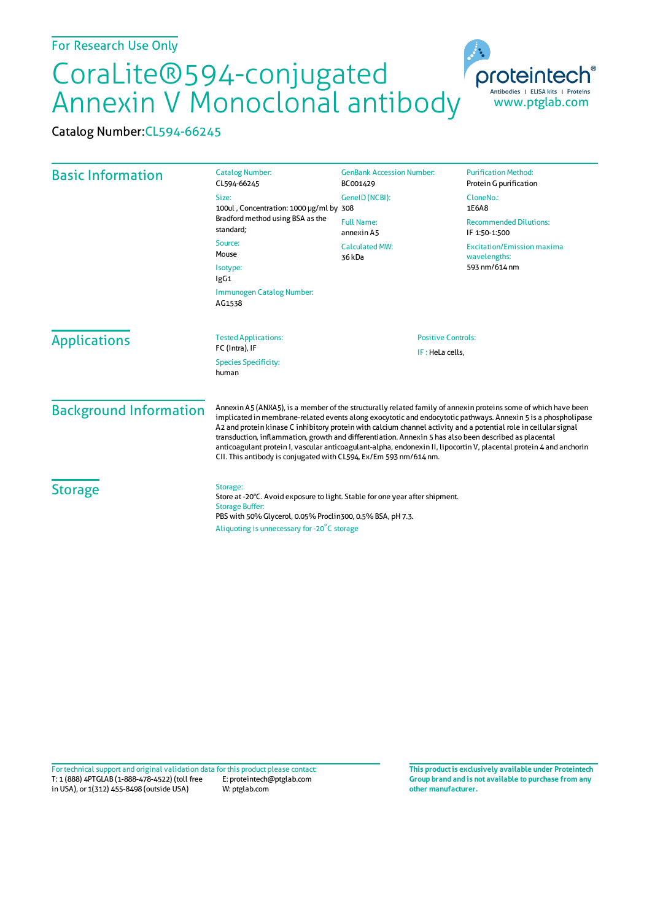## CoraLite®594-conjugated Annexin V Monoclonal antibody

Catalog Number:CL594-66245

| <b>Basic Information</b>                               | <b>Catalog Number:</b><br>CL594-66245                                                                                                                                                                                                                                                                                                                                                                                                                                                                                                                                                                                                                     | <b>GenBank Accession Number:</b><br>BC001429 | <b>Purification Method:</b><br>Protein G purification              |
|--------------------------------------------------------|-----------------------------------------------------------------------------------------------------------------------------------------------------------------------------------------------------------------------------------------------------------------------------------------------------------------------------------------------------------------------------------------------------------------------------------------------------------------------------------------------------------------------------------------------------------------------------------------------------------------------------------------------------------|----------------------------------------------|--------------------------------------------------------------------|
|                                                        | Size:<br>100ul, Concentration: 1000 µg/ml by 308<br>Bradford method using BSA as the<br>standard:<br>Source:<br>Mouse<br>Isotype:<br>lgG1                                                                                                                                                                                                                                                                                                                                                                                                                                                                                                                 | GenelD (NCBI):                               | CloneNo.:<br>1E6A8                                                 |
|                                                        |                                                                                                                                                                                                                                                                                                                                                                                                                                                                                                                                                                                                                                                           | <b>Full Name:</b><br>annexin A5              | <b>Recommended Dilutions:</b><br>IF 1:50-1:500                     |
|                                                        |                                                                                                                                                                                                                                                                                                                                                                                                                                                                                                                                                                                                                                                           | <b>Calculated MW:</b><br>36 kDa              | <b>Excitation/Emission maxima</b><br>wavelengths:<br>593 nm/614 nm |
|                                                        |                                                                                                                                                                                                                                                                                                                                                                                                                                                                                                                                                                                                                                                           |                                              |                                                                    |
|                                                        | <b>Applications</b>                                                                                                                                                                                                                                                                                                                                                                                                                                                                                                                                                                                                                                       |                                              |                                                                    |
| FC (Intra), IF<br><b>Species Specificity:</b><br>human |                                                                                                                                                                                                                                                                                                                                                                                                                                                                                                                                                                                                                                                           | IF: HeLa cells,                              |                                                                    |
| <b>Background Information</b>                          | Annexin A5 (ANXA5), is a member of the structurally related family of annexin proteins some of which have been<br>implicated in membrane-related events along exocytotic and endocytotic pathways. Annexin 5 is a phospholipase<br>A2 and protein kinase C inhibitory protein with calcium channel activity and a potential role in cellular signal<br>transduction, inflammation, growth and differentiation. Annexin 5 has also been described as placental<br>anticoagulant protein I, vascular anticoagulant-alpha, endonexin II, lipocortin V, placental protein 4 and anchorin<br>CII. This antibody is conjugated with CL594, Ex/Em 593 nm/614 nm. |                                              |                                                                    |
| <b>Storage</b>                                         | Storage:<br>Store at -20°C. Avoid exposure to light. Stable for one year after shipment.<br><b>Storage Buffer:</b><br>PBS with 50% Glycerol, 0.05% Proclin300, 0.5% BSA, pH 7.3.<br>Aliquoting is unnecessary for -20°C storage                                                                                                                                                                                                                                                                                                                                                                                                                           |                                              |                                                                    |

T: 1 (888) 4PTGLAB (1-888-478-4522) (toll free in USA), or 1(312) 455-8498 (outside USA) E: proteintech@ptglab.com W: ptglab.com Fortechnical support and original validation data forthis product please contact: **This productis exclusively available under Proteintech**

**Group brand and is not available to purchase from any other manufacturer.**

www.ptglab.com

Antibodies | ELISA kits | Proteins

proteinter